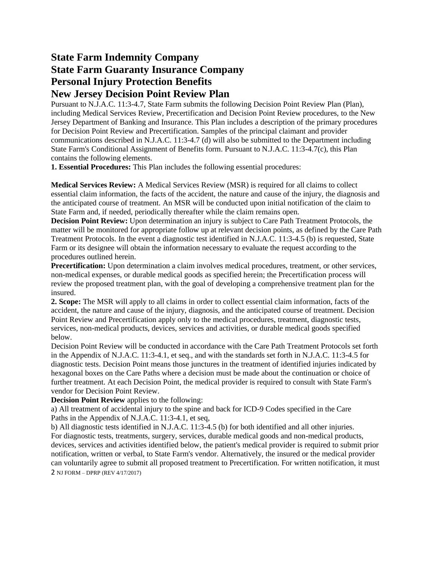# **State Farm Indemnity Company State Farm Guaranty Insurance Company Personal Injury Protection Benefits New Jersey Decision Point Review Plan**

Pursuant to N.J.A.C. 11:3-4.7, State Farm submits the following Decision Point Review Plan (Plan), including Medical Services Review, Precertification and Decision Point Review procedures, to the New Jersey Department of Banking and Insurance. This Plan includes a description of the primary procedures for Decision Point Review and Precertification. Samples of the principal claimant and provider communications described in N.J.A.C. 11:3-4.7 (d) will also be submitted to the Department including State Farm's Conditional Assignment of Benefits form. Pursuant to N.J.A.C. 11:3-4.7(c), this Plan contains the following elements.

**1. Essential Procedures:** This Plan includes the following essential procedures:

**Medical Services Review:** A Medical Services Review (MSR) is required for all claims to collect essential claim information, the facts of the accident, the nature and cause of the injury, the diagnosis and the anticipated course of treatment. An MSR will be conducted upon initial notification of the claim to State Farm and, if needed, periodically thereafter while the claim remains open.

**Decision Point Review:** Upon determination an injury is subject to Care Path Treatment Protocols, the matter will be monitored for appropriate follow up at relevant decision points, as defined by the Care Path Treatment Protocols. In the event a diagnostic test identified in N.J.A.C. 11:3-4.5 (b) is requested, State Farm or its designee will obtain the information necessary to evaluate the request according to the procedures outlined herein.

**Precertification:** Upon determination a claim involves medical procedures, treatment, or other services, non-medical expenses, or durable medical goods as specified herein; the Precertification process will review the proposed treatment plan, with the goal of developing a comprehensive treatment plan for the insured.

**2. Scope:** The MSR will apply to all claims in order to collect essential claim information, facts of the accident, the nature and cause of the injury, diagnosis, and the anticipated course of treatment. Decision Point Review and Precertification apply only to the medical procedures, treatment, diagnostic tests, services, non-medical products, devices, services and activities, or durable medical goods specified below.

Decision Point Review will be conducted in accordance with the Care Path Treatment Protocols set forth in the Appendix of N.J.A.C. 11:3-4.1, et seq., and with the standards set forth in N.J.A.C. 11:3-4.5 for diagnostic tests. Decision Point means those junctures in the treatment of identified injuries indicated by hexagonal boxes on the Care Paths where a decision must be made about the continuation or choice of further treatment. At each Decision Point, the medical provider is required to consult with State Farm's vendor for Decision Point Review.

**Decision Point Review** applies to the following:

a) All treatment of accidental injury to the spine and back for ICD-9 Codes specified in the Care Paths in the Appendix of N.J.A.C. 11:3-4.1, et seq,

b) All diagnostic tests identified in N.J.A.C. 11:3-4.5 (b) for both identified and all other injuries. For diagnostic tests, treatments, surgery, services, durable medical goods and non-medical products, devices, services and activities identified below, the patient's medical provider is required to submit prior notification, written or verbal, to State Farm's vendor. Alternatively, the insured or the medical provider can voluntarily agree to submit all proposed treatment to Precertification. For written notification, it must 2 NJ FORM – DPRP (REV 4/17/2017)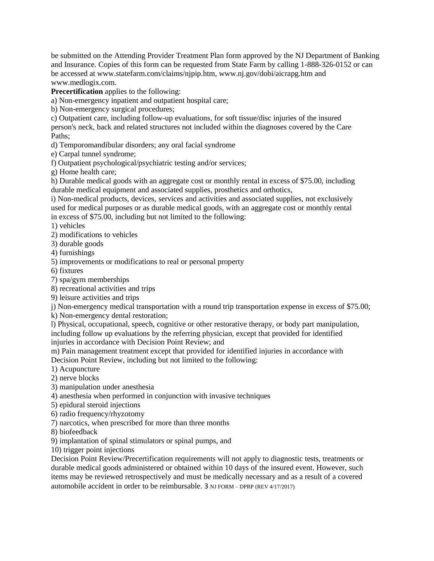be submitted on the Attending Provider Treatment Plan form approved by the NJ Department of Banking and Insurance. Copies of this form can be requested from State Farm by calling 1-888-326-0152 or can be accessed at www.statefarm.com/claims/njpip.htm, www.nj.gov/dobi/aicrapg.htm and www.medlogix.com.

**Precertification** applies to the following:

a) Non-emergency inpatient and outpatient hospital care;

b) Non-emergency surgical procedures;

c) Outpatient care, including follow-up evaluations, for soft tissue/disc injuries of the insured person's neck, back and related structures not included within the diagnoses covered by the Care Paths;

d) Temporomandibular disorders; any oral facial syndrome

e) Carpal tunnel syndrome;

f) Outpatient psychological/psychiatric testing and/or services;

g) Home health care;

h) Durable medical goods with an aggregate cost or monthly rental in excess of \$75.00, including durable medical equipment and associated supplies, prosthetics and orthotics,

i) Non-medical products, devices, services and activities and associated supplies, not exclusively used for medical purposes or as durable medical goods, with an aggregate cost or monthly rental in excess of \$75.00, including but not limited to the following:

1) vehicles

2) modifications to vehicles

3) durable goods

4) furnishings

5) improvements or modifications to real or personal property

6) fixtures

7) spa/gym memberships

8) recreational activities and trips

9) leisure activities and trips

j) Non-emergency medical transportation with a round trip transportation expense in excess of \$75.00;

k) Non-emergency dental restoration;

l) Physical, occupational, speech, cognitive or other restorative therapy, or body part manipulation, including follow up evaluations by the referring physician, except that provided for identified injuries in accordance with Decision Point Review; and

m) Pain management treatment except that provided for identified injuries in accordance with Decision Point Review, including but not limited to the following:

1) Acupuncture

2) nerve blocks

3) manipulation under anesthesia

4) anesthesia when performed in conjunction with invasive techniques

5) epidural steroid injections

6) radio frequency/rhyzotomy

7) narcotics, when prescribed for more than three months

8) biofeedback

9) implantation of spinal stimulators or spinal pumps, and

10) trigger point injections

Decision Point Review/Precertification requirements will not apply to diagnostic tests, treatments or durable medical goods administered or obtained within 10 days of the insured event. However, such items may be reviewed retrospectively and must be medically necessary and as a result of a covered automobile accident in order to be reimbursable. 3 NJ FORM – DPRP (REV 4/17/2017)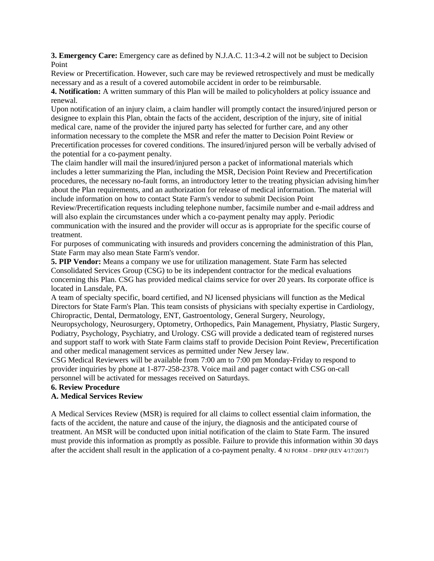**3. Emergency Care:** Emergency care as defined by N.J.A.C. 11:3-4.2 will not be subject to Decision Point

Review or Precertification. However, such care may be reviewed retrospectively and must be medically necessary and as a result of a covered automobile accident in order to be reimbursable.

**4. Notification:** A written summary of this Plan will be mailed to policyholders at policy issuance and renewal.

Upon notification of an injury claim, a claim handler will promptly contact the insured/injured person or designee to explain this Plan, obtain the facts of the accident, description of the injury, site of initial medical care, name of the provider the injured party has selected for further care, and any other information necessary to the complete the MSR and refer the matter to Decision Point Review or Precertification processes for covered conditions. The insured/injured person will be verbally advised of the potential for a co-payment penalty.

The claim handler will mail the insured/injured person a packet of informational materials which includes a letter summarizing the Plan, including the MSR, Decision Point Review and Precertification procedures, the necessary no-fault forms, an introductory letter to the treating physician advising him/her about the Plan requirements, and an authorization for release of medical information. The material will include information on how to contact State Farm's vendor to submit Decision Point

Review/Precertification requests including telephone number, facsimile number and e-mail address and will also explain the circumstances under which a co-payment penalty may apply. Periodic

communication with the insured and the provider will occur as is appropriate for the specific course of treatment.

For purposes of communicating with insureds and providers concerning the administration of this Plan, State Farm may also mean State Farm's vendor.

**5. PIP Vendor:** Means a company we use for utilization management. State Farm has selected Consolidated Services Group (CSG) to be its independent contractor for the medical evaluations concerning this Plan. CSG has provided medical claims service for over 20 years. Its corporate office is located in Lansdale, PA.

A team of specialty specific, board certified, and NJ licensed physicians will function as the Medical Directors for State Farm's Plan. This team consists of physicians with specialty expertise in Cardiology, Chiropractic, Dental, Dermatology, ENT, Gastroentology, General Surgery, Neurology,

Neuropsychology, Neurosurgery, Optometry, Orthopedics, Pain Management, Physiatry, Plastic Surgery, Podiatry, Psychology, Psychiatry, and Urology. CSG will provide a dedicated team of registered nurses and support staff to work with State Farm claims staff to provide Decision Point Review, Precertification and other medical management services as permitted under New Jersey law.

CSG Medical Reviewers will be available from 7:00 am to 7:00 pm Monday-Friday to respond to provider inquiries by phone at 1-877-258-2378. Voice mail and pager contact with CSG on-call personnel will be activated for messages received on Saturdays.

**6. Review Procedure** 

### **A. Medical Services Review**

A Medical Services Review (MSR) is required for all claims to collect essential claim information, the facts of the accident, the nature and cause of the injury, the diagnosis and the anticipated course of treatment. An MSR will be conducted upon initial notification of the claim to State Farm. The insured must provide this information as promptly as possible. Failure to provide this information within 30 days after the accident shall result in the application of a co-payment penalty. 4 NJ FORM – DPRP (REV 4/17/2017)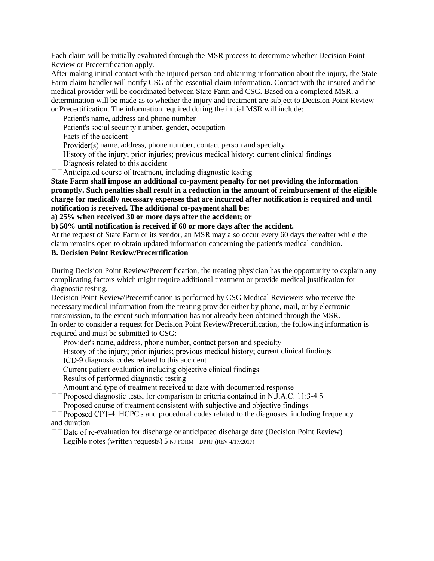Each claim will be initially evaluated through the MSR process to determine whether Decision Point Review or Precertification apply.

After making initial contact with the injured person and obtaining information about the injury, the State Farm claim handler will notify CSG of the essential claim information. Contact with the insured and the medical provider will be coordinated between State Farm and CSG. Based on a completed MSR, a determination will be made as to whether the injury and treatment are subject to Decision Point Review or Precertification. The information required during the initial MSR will include:

 $\Box$  Patient's name, address and phone number

□ □ Patient's social security number, gender, occupation

 $\Box$  Facts of the accident

 $\Box$  Provider(s) name, address, phone number, contact person and specialty

 $\Box$  History of the injury; prior injuries; previous medical history; current clinical findings

 $\Box$   $\Box$  Anticipated course of treatment, including diagnostic testing

**State Farm shall impose an additional co-payment penalty for not providing the information promptly. Such penalties shall result in a reduction in the amount of reimbursement of the eligible charge for medically necessary expenses that are incurred after notification is required and until notification is received. The additional co-payment shall be:** 

**a) 25% when received 30 or more days after the accident; or** 

**b) 50% until notification is received if 60 or more days after the accident.** 

At the request of State Farm or its vendor, an MSR may also occur every 60 days thereafter while the claim remains open to obtain updated information concerning the patient's medical condition.

# **B. Decision Point Review/Precertification**

During Decision Point Review/Precertification, the treating physician has the opportunity to explain any complicating factors which might require additional treatment or provide medical justification for diagnostic testing.

Decision Point Review/Precertification is performed by CSG Medical Reviewers who receive the necessary medical information from the treating provider either by phone, mail, or by electronic transmission, to the extent such information has not already been obtained through the MSR. In order to consider a request for Decision Point Review/Precertification, the following information is required and must be submitted to CSG:

 $\Box$  Provider's name, address, phone number, contact person and specialty

 $\Box$  History of the injury; prior injuries; previous medical history; current clinical findings

-9 diagnosis codes related to this accident

 $\Box$  Results of performed diagnostic testing

 $\Box$  Amount and type of treatment received to date with documented response

 $\Box$  Proposed diagnostic tests, for comparison to criteria contained in N.J.A.C. 11:3-4.5.

□□Proposed course of treatment consistent with subjective and objective findings

 $\Box$   $\Box$  Proposed CPT-4, HCPC's and procedural codes related to the diagnoses, including frequency and duration

 $\Box$ Date of re-evaluation for discharge or anticipated discharge date (Decision Point Review)

 $\Box$  Legible notes (written requests) 5 NJ FORM – DPRP (REV 4/17/2017)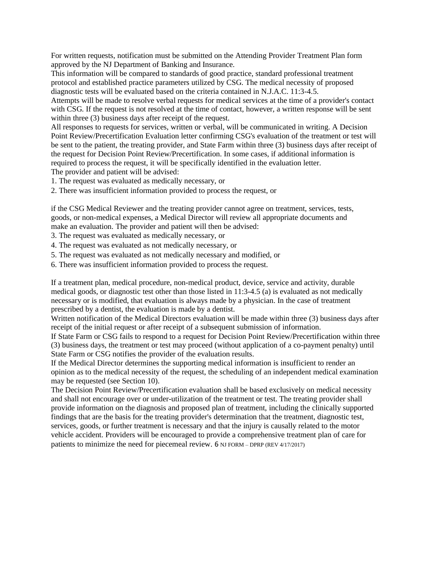For written requests, notification must be submitted on the Attending Provider Treatment Plan form approved by the NJ Department of Banking and Insurance.

This information will be compared to standards of good practice, standard professional treatment protocol and established practice parameters utilized by CSG. The medical necessity of proposed diagnostic tests will be evaluated based on the criteria contained in N.J.A.C. 11:3-4.5.

Attempts will be made to resolve verbal requests for medical services at the time of a provider's contact with CSG. If the request is not resolved at the time of contact, however, a written response will be sent within three (3) business days after receipt of the request.

All responses to requests for services, written or verbal, will be communicated in writing. A Decision Point Review/Precertification Evaluation letter confirming CSG's evaluation of the treatment or test will be sent to the patient, the treating provider, and State Farm within three (3) business days after receipt of the request for Decision Point Review/Precertification. In some cases, if additional information is required to process the request, it will be specifically identified in the evaluation letter. The provider and patient will be advised:

1. The request was evaluated as medically necessary, or

2. There was insufficient information provided to process the request, or

if the CSG Medical Reviewer and the treating provider cannot agree on treatment, services, tests, goods, or non-medical expenses, a Medical Director will review all appropriate documents and make an evaluation. The provider and patient will then be advised:

3. The request was evaluated as medically necessary, or

4. The request was evaluated as not medically necessary, or

5. The request was evaluated as not medically necessary and modified, or

6. There was insufficient information provided to process the request.

If a treatment plan, medical procedure, non-medical product, device, service and activity, durable medical goods, or diagnostic test other than those listed in 11:3-4.5 (a) is evaluated as not medically necessary or is modified, that evaluation is always made by a physician. In the case of treatment prescribed by a dentist, the evaluation is made by a dentist.

Written notification of the Medical Directors evaluation will be made within three (3) business days after receipt of the initial request or after receipt of a subsequent submission of information.

If State Farm or CSG fails to respond to a request for Decision Point Review/Precertification within three (3) business days, the treatment or test may proceed (without application of a co-payment penalty) until State Farm or CSG notifies the provider of the evaluation results.

If the Medical Director determines the supporting medical information is insufficient to render an opinion as to the medical necessity of the request, the scheduling of an independent medical examination may be requested (see Section 10).

The Decision Point Review/Precertification evaluation shall be based exclusively on medical necessity and shall not encourage over or under-utilization of the treatment or test. The treating provider shall provide information on the diagnosis and proposed plan of treatment, including the clinically supported findings that are the basis for the treating provider's determination that the treatment, diagnostic test, services, goods, or further treatment is necessary and that the injury is causally related to the motor vehicle accident. Providers will be encouraged to provide a comprehensive treatment plan of care for patients to minimize the need for piecemeal review. 6 NJ FORM – DPRP (REV 4/17/2017)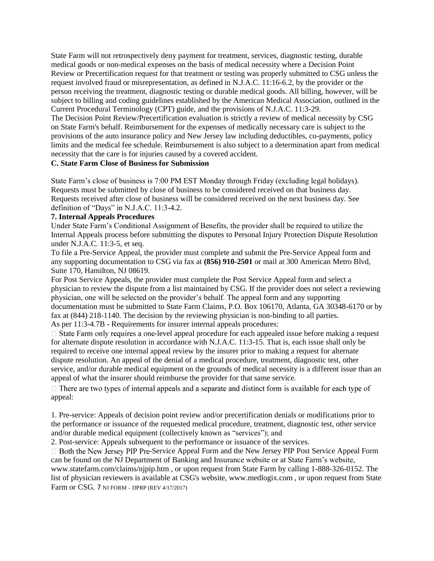State Farm will not retrospectively deny payment for treatment, services, diagnostic testing, durable medical goods or non-medical expenses on the basis of medical necessity where a Decision Point Review or Precertification request for that treatment or testing was properly submitted to CSG unless the request involved fraud or misrepresentation, as defined in N.J.A.C. 11:16-6.2, by the provider or the person receiving the treatment, diagnostic testing or durable medical goods. All billing, however, will be subject to billing and coding guidelines established by the American Medical Association, outlined in the Current Procedural Terminology (CPT) guide, and the provisions of N.J.A.C. 11:3-29.

The Decision Point Review/Precertification evaluation is strictly a review of medical necessity by CSG on State Farm's behalf. Reimbursement for the expenses of medically necessary care is subject to the provisions of the auto insurance policy and New Jersey law including deductibles, co-payments, policy limits and the medical fee schedule. Reimbursement is also subject to a determination apart from medical necessity that the care is for injuries caused by a covered accident.

# **C. State Farm Close of Business for Submission**

State Farm's close of business is 7:00 PM EST Monday through Friday (excluding legal holidays). Requests must be submitted by close of business to be considered received on that business day. Requests received after close of business will be considered received on the next business day. See definition of "Days" in N.J.A.C. 11:3-4.2.

#### **7. Internal Appeals Procedures**

Under State Farm's Conditional Assignment of Benefits, the provider shall be required to utilize the Internal Appeals process before submitting the disputes to Personal Injury Protection Dispute Resolution under N.J.A.C. 11:3-5, et seq.

To file a Pre-Service Appeal, the provider must complete and submit the Pre-Service Appeal form and any supporting documentation to CSG via fax at **(856) 910-2501** or mail at 300 American Metro Blvd, Suite 170, Hamilton, NJ 08619.

For Post Service Appeals, the provider must complete the Post Service Appeal form and select a physician to review the dispute from a list maintained by CSG. If the provider does not select a reviewing physician, one will be selected on the provider's behalf. The appeal form and any supporting documentation must be submitted to State Farm Claims, P.O. Box 106170, Atlanta, GA 30348-6170 or by fax at (844) 218-1140. The decision by the reviewing physician is non-binding to all parties. As per 11:3-4.7B - Requirements for insurer internal appeals procedures:

 $\Box$  State Farm only requires a one-level appeal procedure for each appealed issue before making a request for alternate dispute resolution in accordance with N.J.A.C. 11:3-15. That is, each issue shall only be required to receive one internal appeal review by the insurer prior to making a request for alternate dispute resolution. An appeal of the denial of a medical procedure, treatment, diagnostic test, other service, and/or durable medical equipment on the grounds of medical necessity is a different issue than an appeal of what the insurer should reimburse the provider for that same service.

 $\Box$  There are two types of internal appeals and a separate and distinct form is available for each type of appeal:

1. Pre-service: Appeals of decision point review and/or precertification denials or modifications prior to the performance or issuance of the requested medical procedure, treatment, diagnostic test, other service and/or durable medical equipment (collectively known as "services"); and

2. Post-service: Appeals subsequent to the performance or issuance of the services.

 $\Box$  Both the New Jersey PIP Pre-Service Appeal Form and the New Jersey PIP Post Service Appeal Form can be found on the NJ Department of Banking and Insurance website or at State Farm's website, www.statefarm.com/claims/njpip.htm , or upon request from State Farm by calling 1-888-326-0152. The list of physician reviewers is available at CSG's website, www.medlogix.com , or upon request from State Farm or CSG. 7 NJ FORM – DPRP (REV 4/17/2017)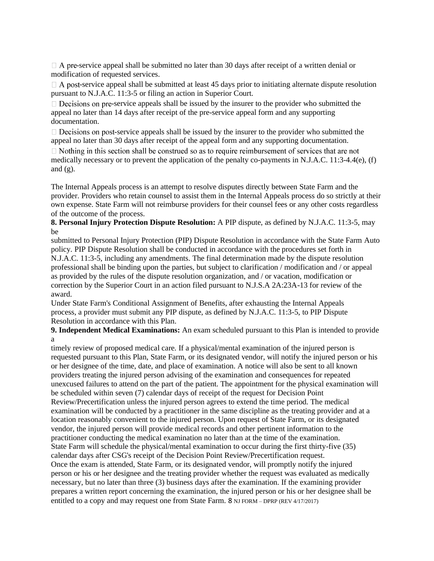$\Box$  A pre-service appeal shall be submitted no later than 30 days after receipt of a written denial or modification of requested services.

 $\Box$  A post-service appeal shall be submitted at least 45 days prior to initiating alternate dispute resolution pursuant to N.J.A.C. 11:3-5 or filing an action in Superior Court.

 $\Box$  Decisions on pre-service appeals shall be issued by the insurer to the provider who submitted the appeal no later than 14 days after receipt of the pre-service appeal form and any supporting documentation.

 $\Box$  Decisions on post-service appeals shall be issued by the insurer to the provider who submitted the appeal no later than 30 days after receipt of the appeal form and any supporting documentation.

 $\Box$  Nothing in this section shall be construed so as to require reimbursement of services that are not medically necessary or to prevent the application of the penalty co-payments in N.J.A.C. 11:3-4.4(e), (f) and  $(g)$ .

The Internal Appeals process is an attempt to resolve disputes directly between State Farm and the provider. Providers who retain counsel to assist them in the Internal Appeals process do so strictly at their own expense. State Farm will not reimburse providers for their counsel fees or any other costs regardless of the outcome of the process.

## **8. Personal Injury Protection Dispute Resolution:** A PIP dispute, as defined by N.J.A.C. 11:3-5, may be

submitted to Personal Injury Protection (PIP) Dispute Resolution in accordance with the State Farm Auto policy. PIP Dispute Resolution shall be conducted in accordance with the procedures set forth in N.J.A.C. 11:3-5, including any amendments. The final determination made by the dispute resolution professional shall be binding upon the parties, but subject to clarification / modification and / or appeal as provided by the rules of the dispute resolution organization, and / or vacation, modification or correction by the Superior Court in an action filed pursuant to N.J.S.A 2A:23A-13 for review of the award.

Under State Farm's Conditional Assignment of Benefits, after exhausting the Internal Appeals process, a provider must submit any PIP dispute, as defined by N.J.A.C. 11:3-5, to PIP Dispute Resolution in accordance with this Plan.

**9. Independent Medical Examinations:** An exam scheduled pursuant to this Plan is intended to provide a

timely review of proposed medical care. If a physical/mental examination of the injured person is requested pursuant to this Plan, State Farm, or its designated vendor, will notify the injured person or his or her designee of the time, date, and place of examination. A notice will also be sent to all known providers treating the injured person advising of the examination and consequences for repeated unexcused failures to attend on the part of the patient. The appointment for the physical examination will be scheduled within seven (7) calendar days of receipt of the request for Decision Point Review/Precertification unless the injured person agrees to extend the time period. The medical examination will be conducted by a practitioner in the same discipline as the treating provider and at a location reasonably convenient to the injured person. Upon request of State Farm, or its designated vendor, the injured person will provide medical records and other pertinent information to the practitioner conducting the medical examination no later than at the time of the examination. State Farm will schedule the physical/mental examination to occur during the first thirty-five (35) calendar days after CSG's receipt of the Decision Point Review/Precertification request. Once the exam is attended, State Farm, or its designated vendor, will promptly notify the injured person or his or her designee and the treating provider whether the request was evaluated as medically necessary, but no later than three (3) business days after the examination. If the examining provider prepares a written report concerning the examination, the injured person or his or her designee shall be entitled to a copy and may request one from State Farm. 8 NJ FORM – DPRP (REV 4/17/2017)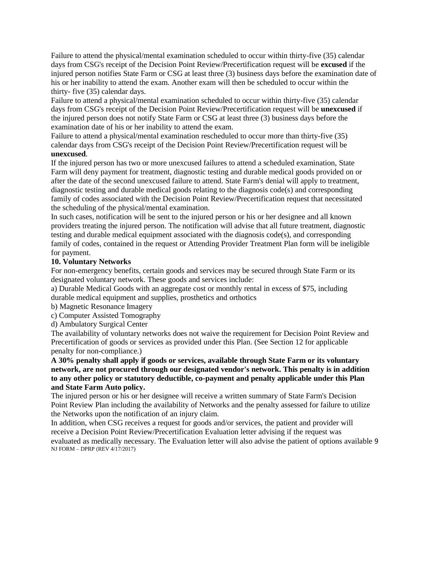Failure to attend the physical/mental examination scheduled to occur within thirty-five (35) calendar days from CSG's receipt of the Decision Point Review/Precertification request will be **excused** if the injured person notifies State Farm or CSG at least three (3) business days before the examination date of his or her inability to attend the exam. Another exam will then be scheduled to occur within the thirty- five (35) calendar days.

Failure to attend a physical/mental examination scheduled to occur within thirty-five (35) calendar days from CSG's receipt of the Decision Point Review/Precertification request will be **unexcused** if the injured person does not notify State Farm or CSG at least three (3) business days before the examination date of his or her inability to attend the exam.

Failure to attend a physical/mental examination rescheduled to occur more than thirty-five (35) calendar days from CSG's receipt of the Decision Point Review/Precertification request will be **unexcused**.

If the injured person has two or more unexcused failures to attend a scheduled examination, State Farm will deny payment for treatment, diagnostic testing and durable medical goods provided on or after the date of the second unexcused failure to attend. State Farm's denial will apply to treatment, diagnostic testing and durable medical goods relating to the diagnosis code(s) and corresponding family of codes associated with the Decision Point Review/Precertification request that necessitated the scheduling of the physical/mental examination.

In such cases, notification will be sent to the injured person or his or her designee and all known providers treating the injured person. The notification will advise that all future treatment, diagnostic testing and durable medical equipment associated with the diagnosis  $code(s)$ , and corresponding family of codes, contained in the request or Attending Provider Treatment Plan form will be ineligible for payment.

# **10. Voluntary Networks**

For non-emergency benefits, certain goods and services may be secured through State Farm or its designated voluntary network. These goods and services include:

a) Durable Medical Goods with an aggregate cost or monthly rental in excess of \$75, including durable medical equipment and supplies, prosthetics and orthotics

- b) Magnetic Resonance Imagery
- c) Computer Assisted Tomography
- d) Ambulatory Surgical Center

The availability of voluntary networks does not waive the requirement for Decision Point Review and Precertification of goods or services as provided under this Plan. (See Section 12 for applicable penalty for non-compliance.)

**A 30% penalty shall apply if goods or services, available through State Farm or its voluntary network, are not procured through our designated vendor's network. This penalty is in addition to any other policy or statutory deductible, co-payment and penalty applicable under this Plan and State Farm Auto policy.** 

The injured person or his or her designee will receive a written summary of State Farm's Decision Point Review Plan including the availability of Networks and the penalty assessed for failure to utilize the Networks upon the notification of an injury claim.

In addition, when CSG receives a request for goods and/or services, the patient and provider will receive a Decision Point Review/Precertification Evaluation letter advising if the request was evaluated as medically necessary. The Evaluation letter will also advise the patient of options available 9 NJ FORM – DPRP (REV 4/17/2017)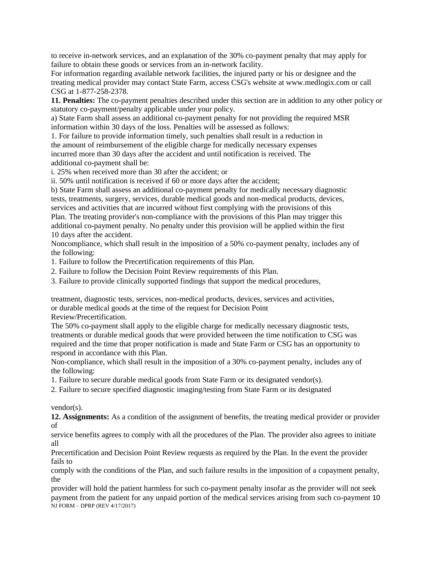to receive in-network services, and an explanation of the 30% co-payment penalty that may apply for failure to obtain these goods or services from an in-network facility.

For information regarding available network facilities, the injured party or his or designee and the treating medical provider may contact State Farm, access CSG's website at www.medlogix.com or call CSG at 1-877-258-2378.

**11. Penalties:** The co-payment penalties described under this section are in addition to any other policy or statutory co-payment/penalty applicable under your policy.

a) State Farm shall assess an additional co-payment penalty for not providing the required MSR information within 30 days of the loss. Penalties will be assessed as follows:

1. For failure to provide information timely, such penalties shall result in a reduction in the amount of reimbursement of the eligible charge for medically necessary expenses incurred more than 30 days after the accident and until notification is received. The additional co-payment shall be:

i. 25% when received more than 30 after the accident; or

ii. 50% until notification is received if 60 or more days after the accident;

b) State Farm shall assess an additional co-payment penalty for medically necessary diagnostic tests, treatments, surgery, services, durable medical goods and non-medical products, devices, services and activities that are incurred without first complying with the provisions of this Plan. The treating provider's non-compliance with the provisions of this Plan may trigger this additional co-payment penalty. No penalty under this provision will be applied within the first 10 days after the accident.

Noncompliance, which shall result in the imposition of a 50% co-payment penalty, includes any of the following:

1. Failure to follow the Precertification requirements of this Plan.

2. Failure to follow the Decision Point Review requirements of this Plan.

3. Failure to provide clinically supported findings that support the medical procedures,

treatment, diagnostic tests, services, non-medical products, devices, services and activities, or durable medical goods at the time of the request for Decision Point Review/Precertification.

The 50% co-payment shall apply to the eligible charge for medically necessary diagnostic tests, treatments or durable medical goods that were provided between the time notification to CSG was required and the time that proper notification is made and State Farm or CSG has an opportunity to respond in accordance with this Plan.

Non-compliance, which shall result in the imposition of a 30% co-payment penalty, includes any of the following:

1. Failure to secure durable medical goods from State Farm or its designated vendor(s).

2. Failure to secure specified diagnostic imaging/testing from State Farm or its designated

vendor(s).

**12. Assignments:** As a condition of the assignment of benefits, the treating medical provider or provider of

service benefits agrees to comply with all the procedures of the Plan. The provider also agrees to initiate all

Precertification and Decision Point Review requests as required by the Plan. In the event the provider fails to

comply with the conditions of the Plan, and such failure results in the imposition of a copayment penalty, the

provider will hold the patient harmless for such co-payment penalty insofar as the provider will not seek payment from the patient for any unpaid portion of the medical services arising from such co-payment 10 NJ FORM – DPRP (REV 4/17/2017)